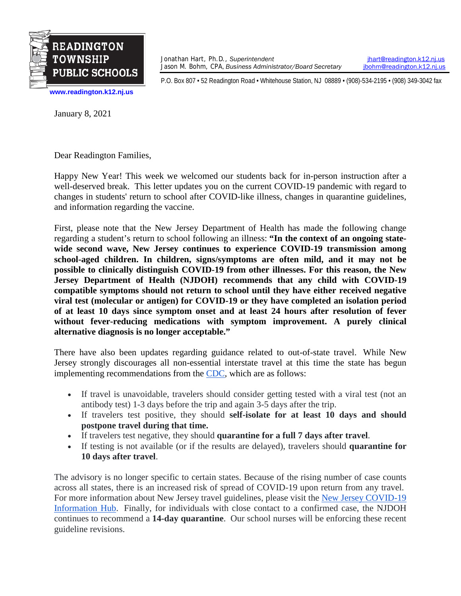

Jonathan Hart, Ph.D., *Superintendent [jhart@readington.k12.nj.us](mailto:jhart@readington.k12.nj.us)*<br>Jason M. Bohm, CPA, Business Administrator/Board Secretary *jhohm@readington.k12.nj.us* Jason M. Bohm, CPA, *Business Administrator/Board Secretary* 

P.O. Box 807 • 52 Readington Road • Whitehouse Station, NJ 08889 • (908)-534-2195 • (908) 349-3042 fax

**[www.readington.k12.nj.us](http://www.readington.k12.nj.us/)**

January 8, 2021

Dear Readington Families,

Happy New Year! This week we welcomed our students back for in-person instruction after a well-deserved break. This letter updates you on the current COVID-19 pandemic with regard to changes in students' return to school after COVID-like illness, changes in quarantine guidelines, and information regarding the vaccine.

First, please note that the New Jersey Department of Health has made the following change regarding a student's return to school following an illness: **"In the context of an ongoing statewide second wave, New Jersey continues to experience COVID-19 transmission among school-aged children. In children, signs/symptoms are often mild, and it may not be possible to clinically distinguish COVID-19 from other illnesses. For this reason, the New Jersey Department of Health (NJDOH) recommends that any child with COVID-19 compatible symptoms should not return to school until they have either received negative viral test (molecular or antigen) for COVID-19 or they have completed an isolation period of at least 10 days since symptom onset and at least 24 hours after resolution of fever without fever-reducing medications with symptom improvement. A purely clinical alternative diagnosis is no longer acceptable."**

There have also been updates regarding guidance related to out-of-state travel. While New Jersey strongly discourages all non-essential interstate travel at this time the state has begun implementing recommendations from the [CDC,](https://www.cdc.gov/coronavirus/2019-ncov/travelers/travel-during-covid19.html) which are as follows:

- If travel is unavoidable, travelers should consider getting tested with a viral test (not an antibody test) 1-3 days before the trip and again 3-5 days after the trip.
- If travelers test positive, they should **self-isolate for at least 10 days and should postpone travel during that time.**
- If travelers test negative, they should **quarantine for a full 7 days after travel**.
- If testing is not available (or if the results are delayed), travelers should **quarantine for 10 days after travel**.

The advisory is no longer specific to certain states. Because of the rising number of case counts across all states, there is an increased risk of spread of COVID-19 upon return from any travel. For more information about New Jersey travel guidelines, please visit the [New Jersey COVID-19](https://covid19.nj.gov/faqs/nj-information/travel-and-transportation/are-there-travel-restrictions-to-or-from-new-jersey#direct-link)  [Information Hub.](https://covid19.nj.gov/faqs/nj-information/travel-and-transportation/are-there-travel-restrictions-to-or-from-new-jersey#direct-link) Finally, for individuals with close contact to a confirmed case, the NJDOH continues to recommend a **14-day quarantine**. Our school nurses will be enforcing these recent guideline revisions.